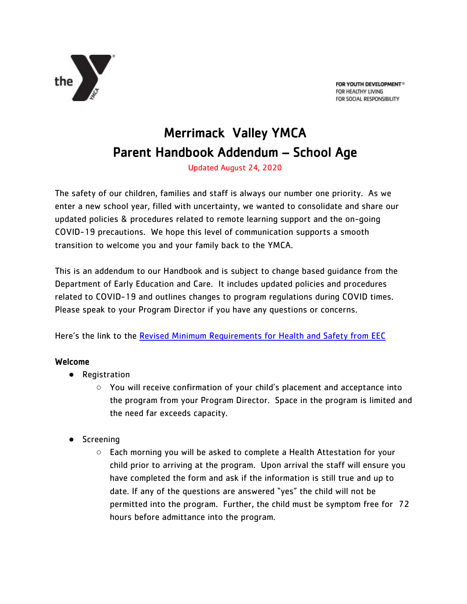

FOR YOUTH DEVELOPMENT® FOR HEALTHY LIVING FOR SOCIAL RESPONSIBILITY

# Merrimack Valley YMCA Parent Handbook Addendum – School Age

Updated August 24, 2020

The safety of our children, families and staff is always our number one priority. As we enter a new school year, filled with uncertainty, we wanted to consolidate and share our updated policies & procedures related to remote learning support and the on-going COVID-19 precautions. We hope this level of communication supports a smooth transition to welcome you and your family back to the YMCA.

This is an addendum to our Handbook and is subject to change based guidance from the Department of Early Education and Care. It includes updated policies and procedures related to COVID-19 and outlines changes to program regulations during COVID times. Please speak to your Program Director if you have any questions or concerns.

Here's the link to the [Revised Minimum Requirements for Health and Safety from EEC](https://eeclead.force.com/resource/1598028195000/EEC_RevisedMinReq)

## Welcome

- Registration
	- You will receive confirmation of your child's placement and acceptance into the program from your Program Director. Space in the program is limited and the need far exceeds capacity.
- Screening
	- Each morning you will be asked to complete a Health Attestation for your child prior to arriving at the program. Upon arrival the staff will ensure you have completed the form and ask if the information is still true and up to date. If any of the questions are answered "yes" the child will not be permitted into the program. Further, the child must be symptom free for 72 hours before admittance into the program.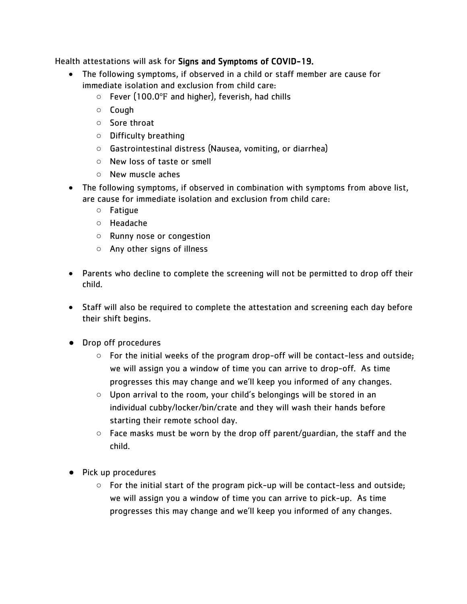Health attestations will ask for Signs and Symptoms of COVID-19.

- The following symptoms, if observed in a child or staff member are cause for immediate isolation and exclusion from child care:
	- Fever (100.0℉ and higher), feverish, had chills
	- Cough
	- Sore throat
	- Difficulty breathing
	- Gastrointestinal distress (Nausea, vomiting, or diarrhea)
	- New loss of taste or smell
	- New muscle aches
- The following symptoms, if observed in combination with symptoms from above list, are cause for immediate isolation and exclusion from child care:
	- Fatigue
	- Headache
	- Runny nose or congestion
	- Any other signs of illness
- Parents who decline to complete the screening will not be permitted to drop off their child.
- Staff will also be required to complete the attestation and screening each day before their shift begins.
- Drop off procedures
	- For the initial weeks of the program drop-off will be contact-less and outside; we will assign you a window of time you can arrive to drop-off. As time progresses this may change and we'll keep you informed of any changes.
	- Upon arrival to the room, your child's belongings will be stored in an individual cubby/locker/bin/crate and they will wash their hands before starting their remote school day.
	- Face masks must be worn by the drop off parent/guardian, the staff and the child.
- Pick up procedures
	- $\circ$  For the initial start of the program pick-up will be contact-less and outside; we will assign you a window of time you can arrive to pick-up. As time progresses this may change and we'll keep you informed of any changes.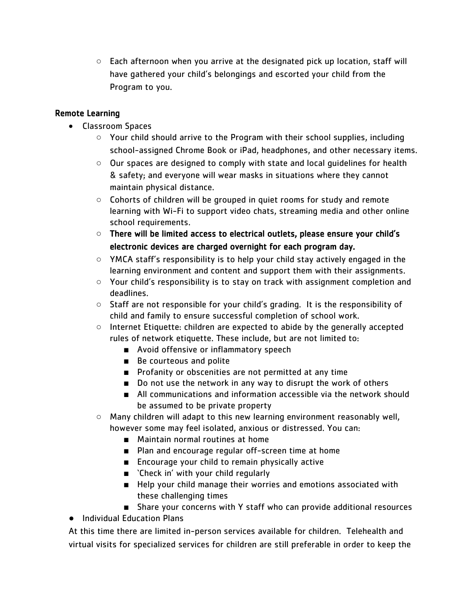$\circ$  Each afternoon when you arrive at the designated pick up location, staff will have gathered your child's belongings and escorted your child from the Program to you.

## Remote Learning

- Classroom Spaces
	- Your child should arrive to the Program with their school supplies, including school-assigned Chrome Book or iPad, headphones, and other necessary items.
	- Our spaces are designed to comply with state and local guidelines for health & safety; and everyone will wear masks in situations where they cannot maintain physical distance.
	- Cohorts of children will be grouped in quiet rooms for study and remote learning with Wi-Fi to support video chats, streaming media and other online school requirements.
	- There will be limited access to electrical outlets, please ensure your child's electronic devices are charged overnight for each program day.
	- YMCA staff's responsibility is to help your child stay actively engaged in the learning environment and content and support them with their assignments.
	- Your child's responsibility is to stay on track with assignment completion and deadlines.
	- Staff are not responsible for your child's grading. It is the responsibility of child and family to ensure successful completion of school work.
	- Internet Etiquette: children are expected to abide by the generally accepted rules of network etiquette. These include, but are not limited to:
		- Avoid offensive or inflammatory speech
		- Be courteous and polite
		- Profanity or obscenities are not permitted at any time
		- Do not use the network in any way to disrupt the work of others
		- All communications and information accessible via the network should be assumed to be private property
	- Many children will adapt to this new learning environment reasonably well, however some may feel isolated, anxious or distressed. You can:
		- Maintain normal routines at home
		- Plan and encourage regular off-screen time at home
		- Encourage your child to remain physically active
		- `Check in' with your child regularly
		- Help your child manage their worries and emotions associated with these challenging times
		- Share your concerns with Y staff who can provide additional resources
- Individual Education Plans

At this time there are limited in-person services available for children. Telehealth and virtual visits for specialized services for children are still preferable in order to keep the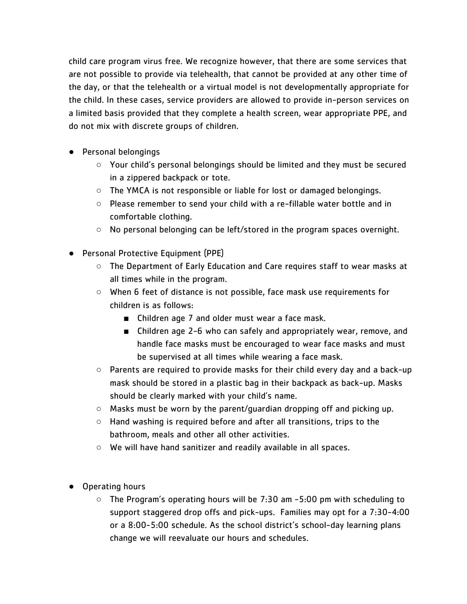child care program virus free. We recognize however, that there are some services that are not possible to provide via telehealth, that cannot be provided at any other time of the day, or that the telehealth or a virtual model is not developmentally appropriate for the child. In these cases, service providers are allowed to provide in-person services on a limited basis provided that they complete a health screen, wear appropriate PPE, and do not mix with discrete groups of children.

- Personal belongings
	- Your child's personal belongings should be limited and they must be secured in a zippered backpack or tote.
	- $\circ$  The YMCA is not responsible or liable for lost or damaged belongings.
	- Please remember to send your child with a re-fillable water bottle and in comfortable clothing.
	- $\circ$  No personal belonging can be left/stored in the program spaces overnight.
- Personal Protective Equipment (PPE)
	- The Department of Early Education and Care requires staff to wear masks at all times while in the program.
	- When 6 feet of distance is not possible, face mask use requirements for children is as follows:
		- Children age 7 and older must wear a face mask.
		- Children age 2-6 who can safely and appropriately wear, remove, and handle face masks must be encouraged to wear face masks and must be supervised at all times while wearing a face mask.
	- $\circ$  Parents are required to provide masks for their child every day and a back-up mask should be stored in a plastic bag in their backpack as back-up. Masks should be clearly marked with your child's name.
	- $\circ$  Masks must be worn by the parent/quardian dropping off and picking up.
	- Hand washing is required before and after all transitions, trips to the bathroom, meals and other all other activities.
	- We will have hand sanitizer and readily available in all spaces.
- Operating hours
	- The Program's operating hours will be 7:30 am -5:00 pm with scheduling to support staggered drop offs and pick-ups. Families may opt for a 7:30-4:00 or a 8:00-5:00 schedule. As the school district's school-day learning plans change we will reevaluate our hours and schedules.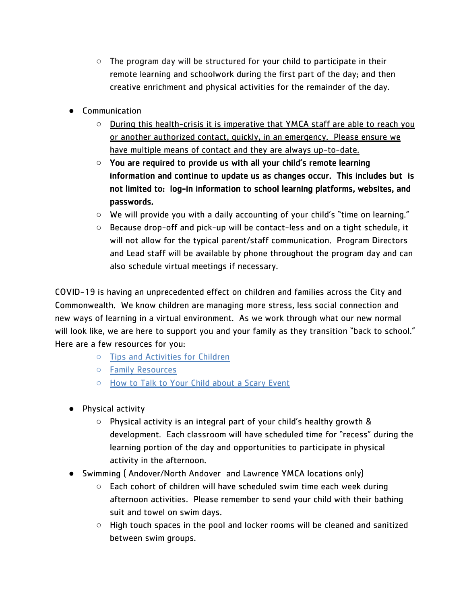- $\circ$  The program day will be structured for your child to participate in their remote learning and schoolwork during the first part of the day; and then creative enrichment and physical activities for the remainder of the day.
- Communication
	- During this health-crisis it is imperative that YMCA staff are able to reach you or another authorized contact, quickly, in an emergency. Please ensure we have multiple means of contact and they are always up-to-date.
	- You are required to provide us with all your child's remote learning information and continue to update us as changes occur. This includes but is not limited to: log-in information to school learning platforms, websites, and passwords.
	- $\circ$  We will provide you with a daily accounting of your child's "time on learning."
	- $\circ$  Because drop-off and pick-up will be contact-less and on a tight schedule, it will not allow for the typical parent/staff communication. Program Directors and Lead staff will be available by phone throughout the program day and can also schedule virtual meetings if necessary.

COVID-19 is having an unprecedented effect on children and families across the City and Commonwealth. We know children are managing more stress, less social connection and new ways of learning in a virtual environment. As we work through what our new normal will look like, we are here to support you and your family as they transition "back to school." Here are a few resources for you:

- [Tips and Activities for Children](https://eeclead.force.com/apex/EEC_ChildcareEmergencyTipsActivities)
- Family [Resources](https://www.nasponline.org/resources-and-publications/resources-and-podcasts/covid-19-resource-center/family-and-educator-resources)
- [How to Talk to Your Child about a Scary Event](https://www.nasponline.org/resources-and-publications/resources-and-podcasts/covid-19-resource-center/family-and-educator-resources)
- Physical activity
	- Physical activity is an integral part of your child's healthy growth & development. Each classroom will have scheduled time for "recess" during the learning portion of the day and opportunities to participate in physical activity in the afternoon.
- Swimming ( Andover/North Andover and Lawrence YMCA locations only)
	- Each cohort of children will have scheduled swim time each week during afternoon activities. Please remember to send your child with their bathing suit and towel on swim days.
	- $\circ$  High touch spaces in the pool and locker rooms will be cleaned and sanitized between swim groups.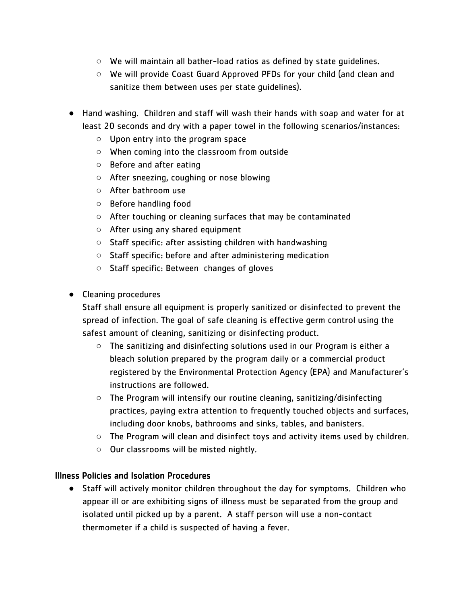- We will maintain all bather-load ratios as defined by state guidelines.
- We will provide Coast Guard Approved PFDs for your child (and clean and sanitize them between uses per state guidelines).
- Hand washing. Children and staff will wash their hands with soap and water for at least 20 seconds and dry with a paper towel in the following scenarios/instances:
	- Upon entry into the program space
	- When coming into the classroom from outside
	- Before and after eating
	- After sneezing, coughing or nose blowing
	- After bathroom use
	- Before handling food
	- After touching or cleaning surfaces that may be contaminated
	- After using any shared equipment
	- Staff specific: after assisting children with handwashing
	- Staff specific: before and after administering medication
	- Staff specific: Between changes of gloves
- Cleaning procedures

Staff shall ensure all equipment is properly sanitized or disinfected to prevent the spread of infection. The goal of safe cleaning is effective germ control using the safest amount of cleaning, sanitizing or disinfecting product.

- The sanitizing and disinfecting solutions used in our Program is either a bleach solution prepared by the program daily or a commercial product registered by the Environmental Protection Agency (EPA) and Manufacturer's instructions are followed.
- The Program will intensify our routine cleaning, sanitizing/disinfecting practices, paying extra attention to frequently touched objects and surfaces, including door knobs, bathrooms and sinks, tables, and banisters.
- $\circ$  The Program will clean and disinfect toys and activity items used by children.
- Our classrooms will be misted nightly.

#### Illness Policies and Isolation Procedures

● Staff will actively monitor children throughout the day for symptoms. Children who appear ill or are exhibiting signs of illness must be separated from the group and isolated until picked up by a parent. A staff person will use a non-contact thermometer if a child is suspected of having a fever.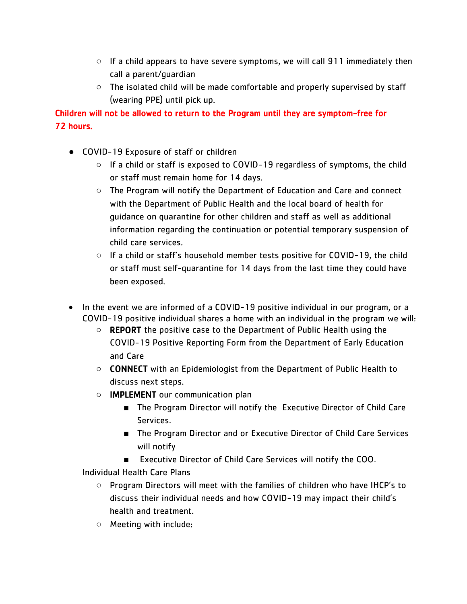- $\circ$  If a child appears to have severe symptoms, we will call 911 immediately then call a parent/guardian
- The isolated child will be made comfortable and properly supervised by staff (wearing PPE) until pick up.

Children will not be allowed to return to the Program until they are symptom-free for 72 hours.

- COVID-19 Exposure of staff or children
	- If a child or staff is exposed to COVID-19 regardless of symptoms, the child or staff must remain home for 14 days.
	- The Program will notify the Department of Education and Care and connect with the Department of Public Health and the local board of health for guidance on quarantine for other children and staff as well as additional information regarding the continuation or potential temporary suspension of child care services.
	- If a child or staff's household member tests positive for COVID-19, the child or staff must self-quarantine for 14 days from the last time they could have been exposed.
- In the event we are informed of a COVID-19 positive individual in our program, or a COVID-19 positive individual shares a home with an individual in the program we will:
	- REPORT the positive case to the Department of Public Health using the COVID-19 Positive Reporting Form from the Department of Early Education and Care
	- **CONNECT** with an Epidemiologist from the Department of Public Health to discuss next steps.
	- IMPLEMENT our communication plan
		- The Program Director will notify the Executive Director of Child Care Services.
		- The Program Director and or Executive Director of Child Care Services will notify
		- Executive Director of Child Care Services will notify the COO.

Individual Health Care Plans

- Program Directors will meet with the families of children who have IHCP's to discuss their individual needs and how COVID-19 may impact their child's health and treatment.
- Meeting with include: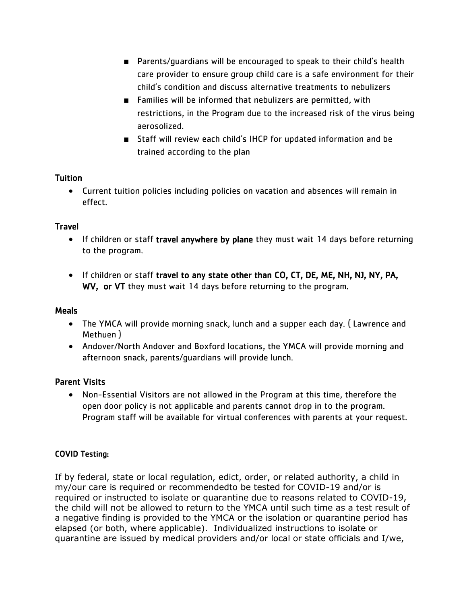- Parents/quardians will be encouraged to speak to their child's health care provider to ensure group child care is a safe environment for their child's condition and discuss alternative treatments to nebulizers
- Families will be informed that nebulizers are permitted, with restrictions, in the Program due to the increased risk of the virus being aerosolized.
- Staff will review each child's IHCP for updated information and be trained according to the plan

#### Tuition

 Current tuition policies including policies on vacation and absences will remain in effect.

### **Travel**

- If children or staff travel anywhere by plane they must wait 14 days before returning to the program.
- If children or staff travel to any state other than CO, CT, DE, ME, NH, NJ, NY, PA, WV, or VT they must wait 14 days before returning to the program.

#### Meals

- The YMCA will provide morning snack, lunch and a supper each day. ( Lawrence and Methuen )
- Andover/North Andover and Boxford locations, the YMCA will provide morning and afternoon snack, parents/guardians will provide lunch.

## Parent Visits

 Non-Essential Visitors are not allowed in the Program at this time, therefore the open door policy is not applicable and parents cannot drop in to the program. Program staff will be available for virtual conferences with parents at your request.

## COVID Testing:

If by federal, state or local regulation, edict, order, or related authority, a child in my/our care is required or recommendedto be tested for COVID-19 and/or is required or instructed to isolate or quarantine due to reasons related to COVID-19, the child will not be allowed to return to the YMCA until such time as a test result of a negative finding is provided to the YMCA or the isolation or quarantine period has elapsed (or both, where applicable). Individualized instructions to isolate or quarantine are issued by medical providers and/or local or state officials and I/we,